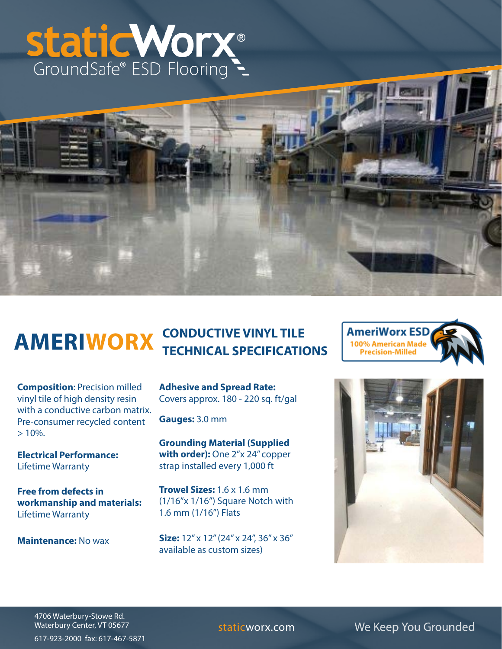# Static Worx®



### **AMERIWORX** CONDUCTIVE VINYL TILE **TECHNICAL SPECIFICATIONS**

**Composition**: Precision milled vinyl tile of high density resin with a conductive carbon matrix. Pre-consumer recycled content  $> 10\%$ .

**Electrical Performance:**  Lifetime Warranty

**Free from defects in workmanship and materials:** Lifetime Warranty

**Maintenance:** No wax

**Adhesive and Spread Rate:**  Covers approx. 180 - 220 sq. ft/gal

**Gauges:** 3.0 mm

**Grounding Material (Supplied with order):** One 2"x 24" copper strap installed every 1,000 ft

**Trowel Sizes:** 1.6 x 1.6 mm (1/16"x 1/16") Square Notch with 1.6 mm (1/16") Flats

**Size:** 12" x 12" (24" x 24", 36" x 36" available as custom sizes)





4706 Waterbury-Stowe Rd. Waterbury Center, VT 05677 617-923-2000 fax: 617-467-5871

staticworx.com We Keep You Grounded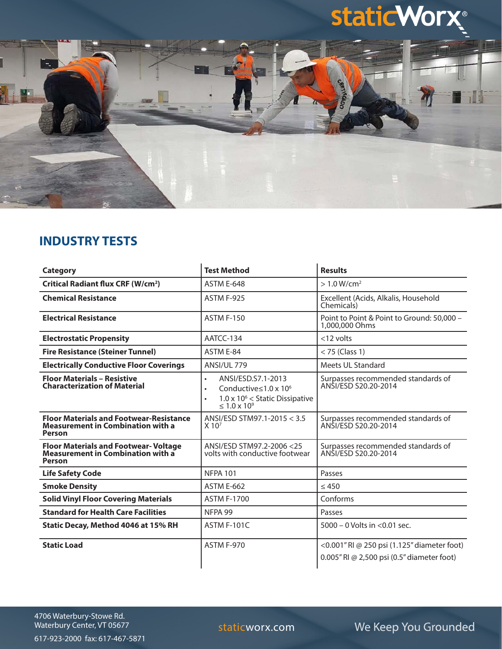## **staticWorx®**



#### **INDUSTRY TESTS**

| <b>Category</b>                                                                                             | <b>Test Method</b>                                                                                                                                    | <b>Results</b>                                                                            |
|-------------------------------------------------------------------------------------------------------------|-------------------------------------------------------------------------------------------------------------------------------------------------------|-------------------------------------------------------------------------------------------|
| <b>Critical Radiant flux CRF (W/cm<sup>2</sup>)</b>                                                         | <b>ASTM E-648</b>                                                                                                                                     | $> 1.0 W/cm^2$                                                                            |
| <b>Chemical Resistance</b>                                                                                  | ASTM F-925                                                                                                                                            | Excellent (Acids, Alkalis, Household<br>Chemicals)                                        |
| <b>Electrical Resistance</b>                                                                                | <b>ASTM F-150</b>                                                                                                                                     | Point to Point & Point to Ground: 50,000 -<br>1,000,000 Ohms                              |
| <b>Electrostatic Propensity</b>                                                                             | AATCC-134                                                                                                                                             | $<$ 12 volts                                                                              |
| <b>Fire Resistance (Steiner Tunnel)</b>                                                                     | ASTM E-84                                                                                                                                             | $<$ 75 (Class 1)                                                                          |
| <b>Electrically Conductive Floor Coverings</b>                                                              | ANSI/UL 779                                                                                                                                           | Meets UL Standard                                                                         |
| <b>Floor Materials - Resistive</b><br><b>Characterization of Material</b>                                   | ANSI/ESD.S7.1-2013<br>$\bullet$<br>Conductive $\leq 1.0 \times 10^6$<br>$\bullet$<br>$1.0 \times 10^6$ < Static Dissipative<br>$\leq 1.0 \times 10^9$ | Surpasses recommended standards of<br>ANSI/FSD S20.20-2014                                |
| <b>Floor Materials and Footwear-Resistance</b><br><b>Measurement in Combination with a</b><br><b>Person</b> | ANSI/ESD STM97.1-2015 < 3.5<br>$X$ 10 <sup>7</sup>                                                                                                    | Surpasses recommended standards of<br>ANSI/ESD S20.20-2014                                |
| <b>Floor Materials and Footwear- Voltage</b><br><b>Measurement in Combination with a</b><br><b>Person</b>   | ANSI/FSD STM97.2-2006 <25<br>volts with conductive footwear                                                                                           | Surpasses recommended standards of<br>ANSI/ESD S20.20-2014                                |
| <b>Life Safety Code</b>                                                                                     | <b>NFPA 101</b>                                                                                                                                       | Passes                                                                                    |
| <b>Smoke Density</b>                                                                                        | <b>ASTM E-662</b>                                                                                                                                     | $\leq 450$                                                                                |
| <b>Solid Vinyl Floor Covering Materials</b>                                                                 | <b>ASTM F-1700</b>                                                                                                                                    | Conforms                                                                                  |
| <b>Standard for Health Care Facilities</b>                                                                  | NFPA 99                                                                                                                                               | Passes                                                                                    |
| Static Decay, Method 4046 at 15% RH                                                                         | ASTM F-101C                                                                                                                                           | $5000 - 0$ Volts in $< 0.01$ sec.                                                         |
| <b>Static Load</b>                                                                                          | ASTM F-970                                                                                                                                            | <0.001" RI @ 250 psi (1.125" diameter foot)<br>0.005" RI @ 2,500 psi (0.5" diameter foot) |